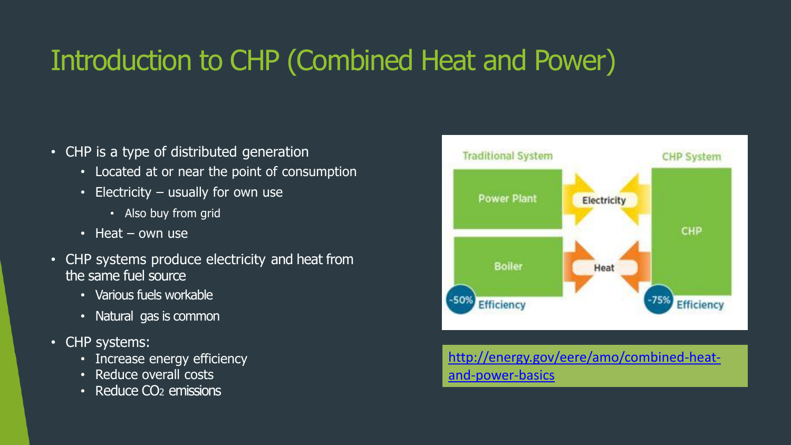## Introduction to CHP (Combined Heat and Power)

- CHP is a type of distributed generation
	- Located at or near the point of consumption
	- Electricity usually for own use
		- Also buy from grid
	- $\cdot$  Heat own use
- CHP systems produce electricity and heat from the same fuel source
	- Various fuels workable
	- Natural gas is common
- CHP systems:
	- Increase energy efficiency
	- Reduce overall costs
	- Reduce CO<sub>2</sub> emissions



[http://energy.gov/eere/amo/combined-heat](http://energy.gov/eere/amo/combined-heat-and-power-basics)[and-power-basics](http://energy.gov/eere/amo/combined-heat-and-power-basics)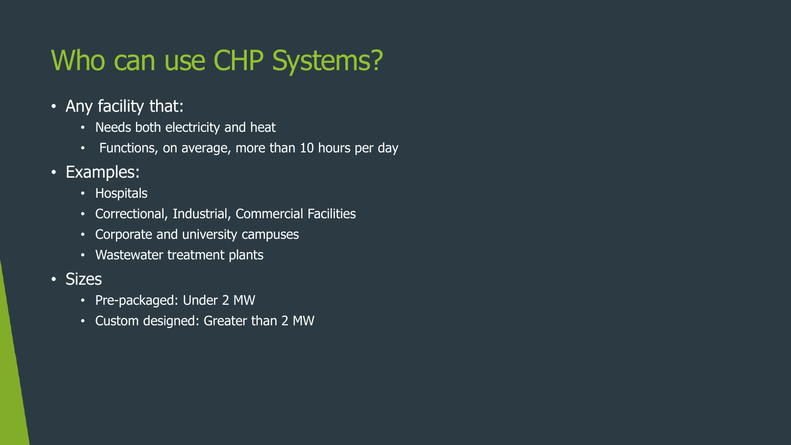## Who can use CHP Systems?

- Any facility that:
	- Needs both electricity and heat
	- Functions, on average, more than 10 hours per day
- Examples:
	- Hospitals
	- Correctional, Industrial, Commercial Facilities
	- Corporate and university campuses
	- Wastewater treatment plants
- Sizes
	- Pre-packaged: Under 2 MW
	- Custom designed: Greater than 2 MW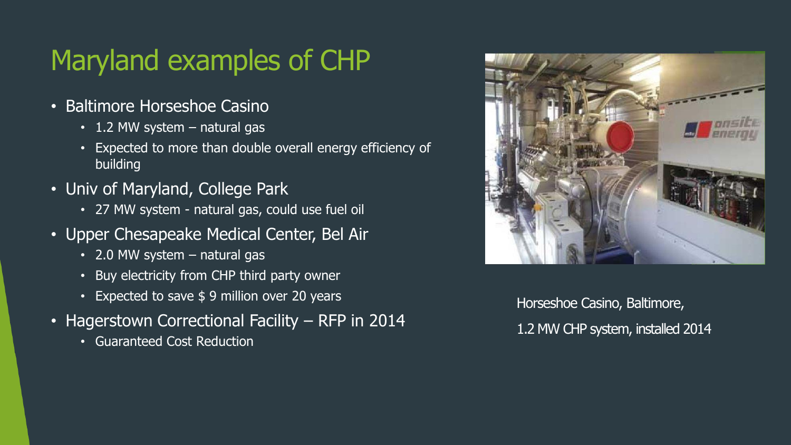## Maryland examples of CHP

- Baltimore Horseshoe Casino
	- 1.2 MW system natural gas
	- Expected to more than double overall energy efficiency of building
- Univ of Maryland, College Park
	- 27 MW system natural gas, could use fuel oil
- Upper Chesapeake Medical Center, Bel Air
	- 2.0 MW system natural gas
	- Buy electricity from CHP third party owner
	- Expected to save \$9 million over 20 years
- Hagerstown Correctional Facility RFP in 2014
	- Guaranteed Cost Reduction



Horseshoe Casino, Baltimore, 1.2 MW CHP system, installed 2014